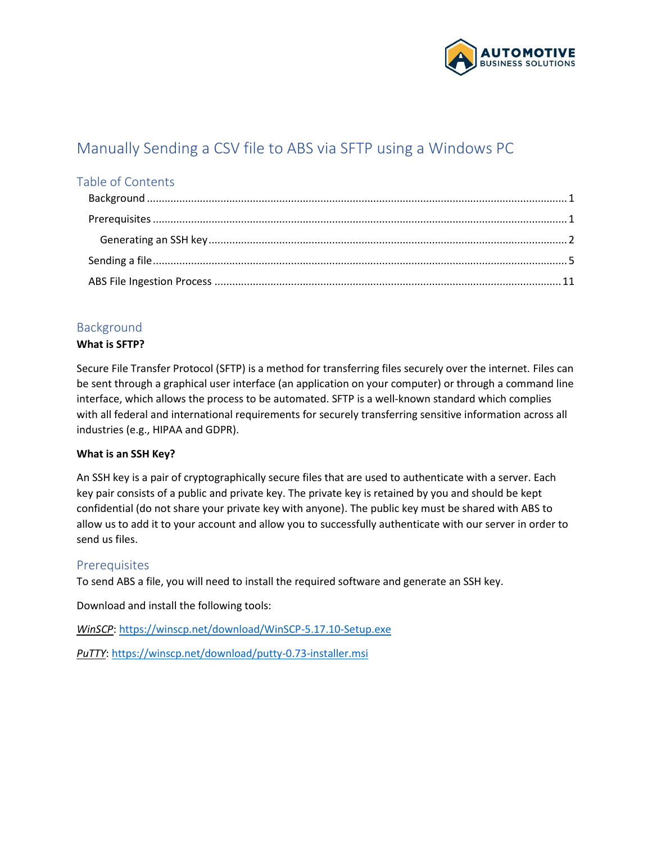

# Manually Sending a CSV file to ABS via SFTP using a Windows PC

# Table of Contents

# <span id="page-0-0"></span>Background

### **What is SFTP?**

Secure File Transfer Protocol (SFTP) is a method for transferring files securely over the internet. Files can be sent through a graphical user interface (an application on your computer) or through a command line interface, which allows the process to be automated. SFTP is a well-known standard which complies with all federal and international requirements for securely transferring sensitive information across all industries (e.g., HIPAA and GDPR).

### **What is an SSH Key?**

An SSH key is a pair of cryptographically secure files that are used to authenticate with a server. Each key pair consists of a public and private key. The private key is retained by you and should be kept confidential (do not share your private key with anyone). The public key must be shared with ABS to allow us to add it to your account and allow you to successfully authenticate with our server in order to send us files.

# <span id="page-0-1"></span>Prerequisites

To send ABS a file, you will need to install the required software and generate an SSH key.

Download and install the following tools:

*WinSCP*:<https://winscp.net/download/WinSCP-5.17.10-Setup.exe>

*PuTTY*:<https://winscp.net/download/putty-0.73-installer.msi>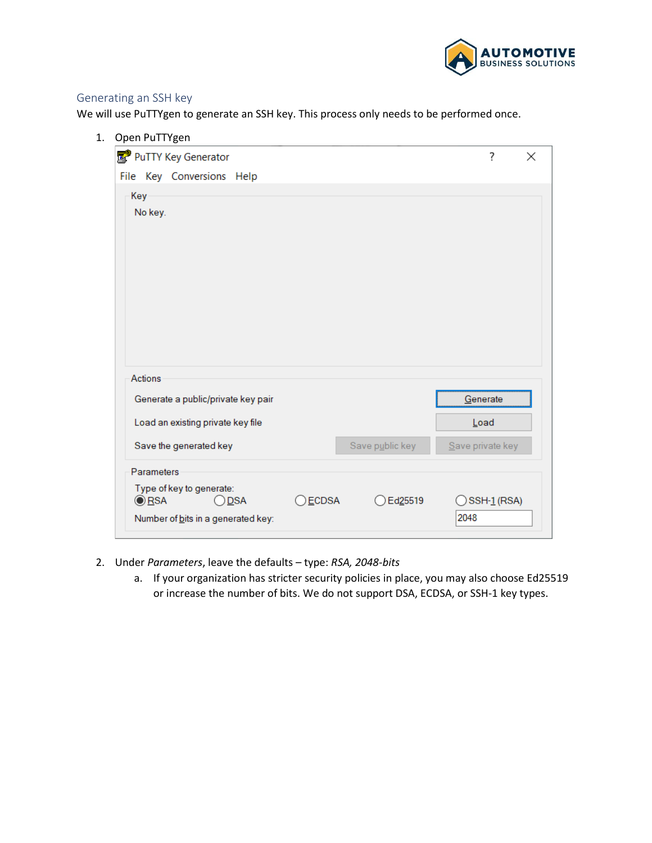

### <span id="page-1-0"></span>Generating an SSH key

We will use PuTTYgen to generate an SSH key. This process only needs to be performed once.

| 1. Open PuTTYgen                                           |                 |                     |                        |
|------------------------------------------------------------|-----------------|---------------------|------------------------|
| PuTTY Key Generator                                        |                 |                     | ?<br>$\times$          |
| File Key Conversions Help                                  |                 |                     |                        |
| Key                                                        |                 |                     |                        |
| No key.                                                    |                 |                     |                        |
|                                                            |                 |                     |                        |
|                                                            |                 |                     |                        |
|                                                            |                 |                     |                        |
|                                                            |                 |                     |                        |
|                                                            |                 |                     |                        |
|                                                            |                 |                     |                        |
|                                                            |                 |                     |                        |
| <b>Actions</b>                                             |                 |                     |                        |
| Generate a public/private key pair                         |                 |                     | Generate               |
| Load an existing private key file                          |                 |                     | Load                   |
|                                                            |                 |                     |                        |
| Save the generated key                                     |                 | Save public key     | Save private key       |
| Parameters                                                 |                 |                     |                        |
| Type of key to generate:<br><u></u> ⊙ RSA<br>◯ <u>D</u> SA | ) <u>E</u> CDSA | Ed <sub>25519</sub> | $\bigcirc$ SSH-1 (RSA) |
| Number of bits in a generated key:                         |                 |                     | 2048                   |

- 2. Under *Parameters*, leave the defaults type: *RSA, 2048-bits*
	- a. If your organization has stricter security policies in place, you may also choose Ed25519 or increase the number of bits. We do not support DSA, ECDSA, or SSH-1 key types.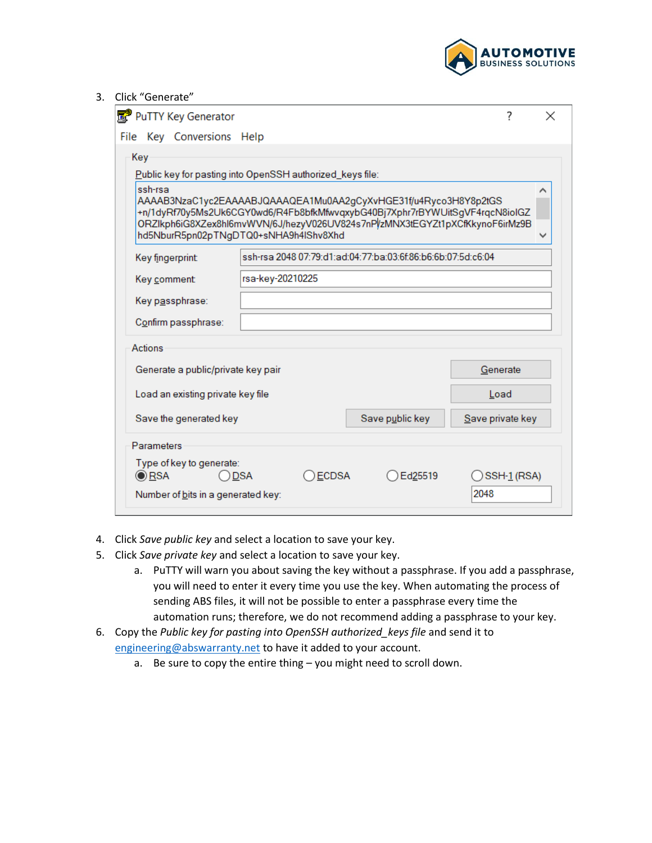

#### 3. Click "Generate"

| PuTTY Key Generator                                                                                                                                                                                                                                                                |                  |              |                                                              | 7                | × |
|------------------------------------------------------------------------------------------------------------------------------------------------------------------------------------------------------------------------------------------------------------------------------------|------------------|--------------|--------------------------------------------------------------|------------------|---|
| File Key Conversions Help                                                                                                                                                                                                                                                          |                  |              |                                                              |                  |   |
| Key                                                                                                                                                                                                                                                                                |                  |              |                                                              |                  |   |
| Public key for pasting into OpenSSH authorized_keys file:                                                                                                                                                                                                                          |                  |              |                                                              |                  |   |
| ssh-rsa<br>AAAAB3NzaC1yc2EAAAABJQAAAQEA1Mu0AA2gCyXvHGE31f/u4Ryco3H8Y8p2tGS<br>+n/1dyRf70y5Ms2Uk6CGY0wd6/R4Fb8bfkMfwvqxybG40Bj7Xphr7rBYWUitSgVF4rqcN8ioIGZ<br>ORZIkph6iG8XZex8hl6mvWVN/6J/hezyV026UV824s7nPl/zMNX3tEGYZt1pXCfKkynoF6irMz9B<br>hd5NburR5pn02pTNgDTQ0+sNHA9h4IShv8Xhd |                  |              |                                                              |                  |   |
| Key fingerprint:                                                                                                                                                                                                                                                                   |                  |              | ssh-rsa 2048 07:79:d1:ad:04:77:ba:03:6f:86:b6:6b:07:5d:c6:04 |                  |   |
| Key comment:                                                                                                                                                                                                                                                                       | rsa-key-20210225 |              |                                                              |                  |   |
| Key passphrase:                                                                                                                                                                                                                                                                    |                  |              |                                                              |                  |   |
| Confirm passphrase:                                                                                                                                                                                                                                                                |                  |              |                                                              |                  |   |
| Actions                                                                                                                                                                                                                                                                            |                  |              |                                                              |                  |   |
| Generate a public/private key pair                                                                                                                                                                                                                                                 |                  |              |                                                              | Generate         |   |
| Load an existing private key file                                                                                                                                                                                                                                                  |                  |              |                                                              | Load             |   |
| Save the generated key                                                                                                                                                                                                                                                             |                  |              | Save public key                                              | Save private key |   |
| Parameters                                                                                                                                                                                                                                                                         |                  |              |                                                              |                  |   |
| Type of key to generate:<br>$\circledcirc$ RSA                                                                                                                                                                                                                                     | <b>DSA</b>       | <b>ECDSA</b> | Ed25519                                                      | SSH-1 (RSA)      |   |
| Number of bits in a generated key:                                                                                                                                                                                                                                                 |                  |              |                                                              | 2048             |   |

- 4. Click *Save public key* and select a location to save your key.
- 5. Click *Save private key* and select a location to save your key.
	- a. PuTTY will warn you about saving the key without a passphrase. If you add a passphrase, you will need to enter it every time you use the key. When automating the process of sending ABS files, it will not be possible to enter a passphrase every time the automation runs; therefore, we do not recommend adding a passphrase to your key.
- 6. Copy the *Public key for pasting into OpenSSH authorized\_keys file* and send it to [engineering@abswarranty.net](mailto:engineering@abswarranty.net) to have it added to your account.
	- a. Be sure to copy the entire thing you might need to scroll down.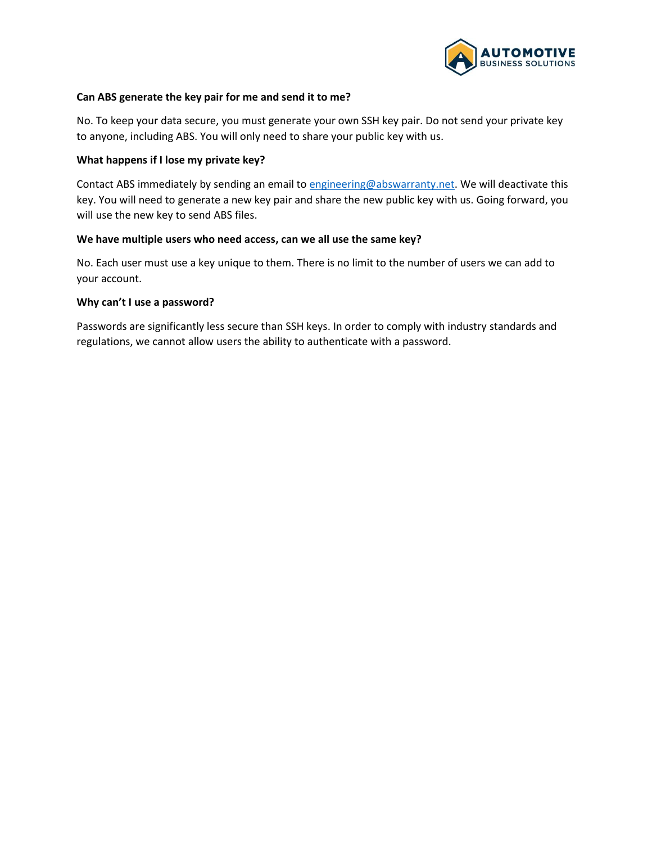

#### **Can ABS generate the key pair for me and send it to me?**

No. To keep your data secure, you must generate your own SSH key pair. Do not send your private key to anyone, including ABS. You will only need to share your public key with us.

#### **What happens if I lose my private key?**

Contact ABS immediately by sending an email t[o engineering@abswarranty.net.](mailto:engineering@abswarranty.net) We will deactivate this key. You will need to generate a new key pair and share the new public key with us. Going forward, you will use the new key to send ABS files.

#### **We have multiple users who need access, can we all use the same key?**

No. Each user must use a key unique to them. There is no limit to the number of users we can add to your account.

#### **Why can't I use a password?**

Passwords are significantly less secure than SSH keys. In order to comply with industry standards and regulations, we cannot allow users the ability to authenticate with a password.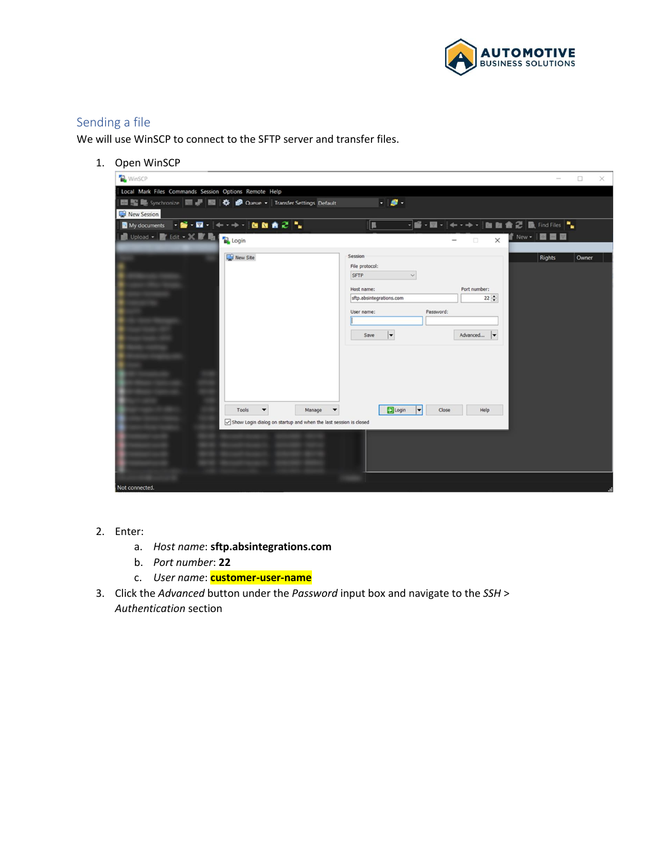

# <span id="page-4-0"></span>Sending a file

We will use WinSCP to connect to the SFTP server and transfer files.

1. Open WinSCP

| <b>WinSCP</b>                                                         |                                                             |                                      | $\Box$                 | $\times$ |
|-----------------------------------------------------------------------|-------------------------------------------------------------|--------------------------------------|------------------------|----------|
|                                                                       |                                                             |                                      |                        |          |
| Local Mark Files Commands Session Options Remote Help                 |                                                             |                                      |                        |          |
| ■ 醫學 Synchronize ■ ■ ■ 幸 ● Queue ▼   Transfer Settings Default        | $-9.$                                                       |                                      |                        |          |
| New Session                                                           |                                                             |                                      |                        |          |
| ■ My documents → 音 → 図 → → → → → 自 M ★ 2 →                            | П                                                           |                                      |                        |          |
| Upload - F Edit - X F La Police                                       |                                                             | $\times$<br>$\Box$                   | T New - <b>E E</b>     |          |
| New Site                                                              | Session                                                     |                                      | <b>Rights</b><br>Owner |          |
|                                                                       | File protocol:                                              |                                      |                        |          |
|                                                                       | SFTP<br>$\checkmark$                                        |                                      |                        |          |
|                                                                       | Host name:                                                  | Port number:                         |                        |          |
|                                                                       | sftp.absintegrations.com                                    | $22 - 2$                             |                        |          |
|                                                                       | Password:<br>User name:                                     |                                      |                        |          |
|                                                                       |                                                             |                                      |                        |          |
|                                                                       | $\vert$<br>Save                                             | Advanced<br>$\vert \mathbf{v} \vert$ |                        |          |
|                                                                       |                                                             |                                      |                        |          |
|                                                                       |                                                             |                                      |                        |          |
|                                                                       |                                                             |                                      |                        |          |
|                                                                       |                                                             |                                      |                        |          |
|                                                                       |                                                             |                                      |                        |          |
| T.                                                                    |                                                             |                                      |                        |          |
| п<br>$\overline{\phantom{a}}$<br>Tools<br>Manage                      | <b>D</b> Login<br>$\vert \textbf{\text{--}} \vert$<br>Close | Help                                 |                        |          |
| m                                                                     |                                                             |                                      |                        |          |
| Show Login dialog on startup and when the last session is closed<br>m |                                                             |                                      |                        |          |
|                                                                       |                                                             |                                      |                        |          |
|                                                                       |                                                             |                                      |                        |          |
|                                                                       |                                                             |                                      |                        |          |
|                                                                       |                                                             |                                      |                        |          |
|                                                                       |                                                             |                                      |                        |          |
| Not connected.                                                        |                                                             |                                      |                        |          |

- 2. Enter:
	- a. *Host name*: **sftp.absintegrations.com**
	- b. *Port number*: **22**
	- c. *User name*: **customer-user-name**
- 3. Click the *Advanced* button under the *Password* input box and navigate to the *SSH* > *Authentication* section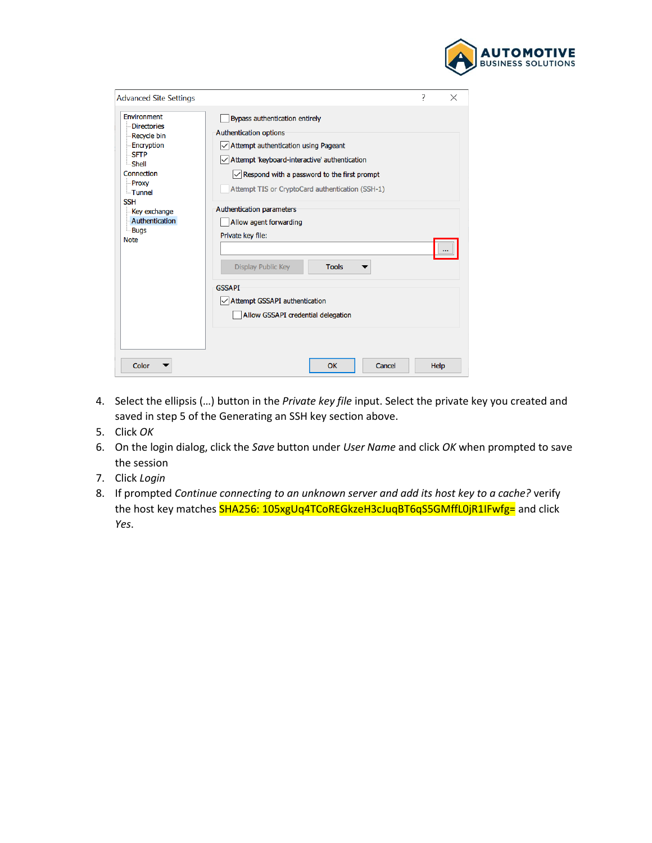

| <b>Advanced Site Settings</b>                                                                                                                                                                                  |                                                                                                                                                                                                                                                                                                                                                                                                                                                                                                                                  | 7 | $\times$ |
|----------------------------------------------------------------------------------------------------------------------------------------------------------------------------------------------------------------|----------------------------------------------------------------------------------------------------------------------------------------------------------------------------------------------------------------------------------------------------------------------------------------------------------------------------------------------------------------------------------------------------------------------------------------------------------------------------------------------------------------------------------|---|----------|
| Environment<br><b>Directories</b><br><b>Recycle bin</b><br>Encryption<br><b>SFTP</b><br>Shell<br>Connection<br>Proxy<br>- Tunnel<br><b>SSH</b><br>Key exchange<br>Authentication<br><b>Bugs</b><br><b>Note</b> | Bypass authentication entirely<br><b>Authentication options</b><br>$\vee$ Attempt authentication using Pageant<br>$\sqrt{}$ Attempt 'keyboard-interactive' authentication<br>$\sqrt{\phantom{a}}$ Respond with a password to the first prompt<br>Attempt TIS or CryptoCard authentication (SSH-1)<br>Authentication parameters<br>Allow agent forwarding<br>Private key file:<br>Display Public Key<br><b>Tools</b><br><b>GSSAPI</b><br>$\sqrt{\phantom{a}}$ Attempt GSSAPI authentication<br>Allow GSSAPI credential delegation |   |          |
| <b>Color</b>                                                                                                                                                                                                   | OK<br>Cancel                                                                                                                                                                                                                                                                                                                                                                                                                                                                                                                     |   | Help     |

- 4. Select the ellipsis (…) button in the *Private key file* input. Select the private key you created and saved in step 5 of the Generating an SSH key section above.
- 5. Click *OK*
- 6. On the login dialog, click the *Save* button under *User Name* and click *OK* when prompted to save the session
- 7. Click *Login*
- 8. If prompted *Continue connecting to an unknown server and add its host key to a cache?* verify the host key matches SHA256: 105xgUq4TCoREGkzeH3cJuqBT6qS5GMffL0jR1IFwfg= and click *Yes*.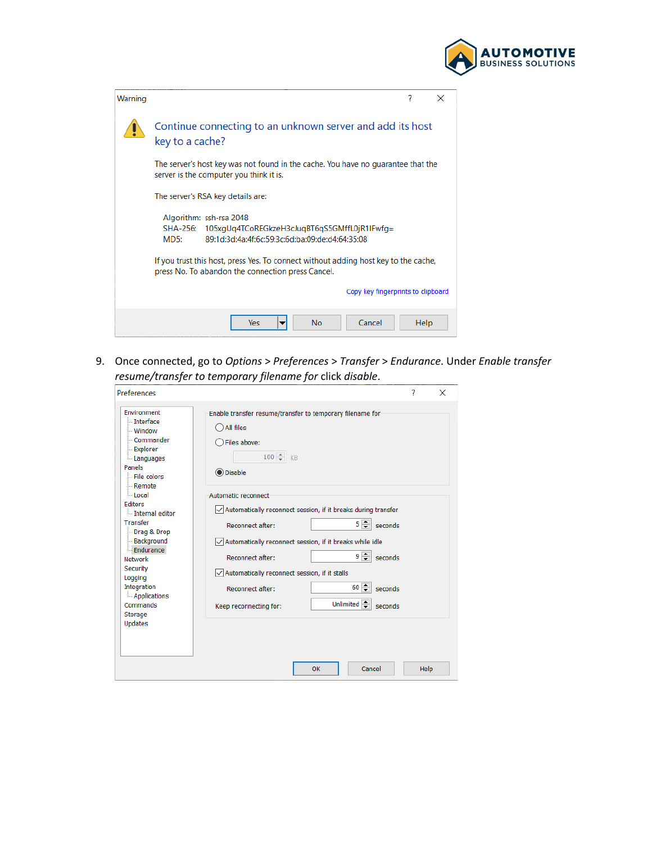

| Warning |                                                                                                                                                | 7    | $\times$ |
|---------|------------------------------------------------------------------------------------------------------------------------------------------------|------|----------|
|         | Continue connecting to an unknown server and add its host<br>key to a cache?                                                                   |      |          |
|         | The server's host key was not found in the cache. You have no quarantee that the<br>server is the computer you think it is.                    |      |          |
|         | The server's RSA key details are:                                                                                                              |      |          |
|         | Algorithm: ssh-rsa 2048<br>105xgUq4TCoREGkzeH3cJuqBT6qS5GMffL0jR1IFwfq=<br>SHA-256:<br>89:1d:3d:4a:4f:6c:59:3c:6d:ba:09:de:d4:64:35:08<br>MD5: |      |          |
|         | If you trust this host, press Yes. To connect without adding host key to the cache,<br>press No. To abandon the connection press Cancel.       |      |          |
|         | Copy key fingerprints to clipboard                                                                                                             |      |          |
|         | <b>No</b><br>Cancel<br>Yes.                                                                                                                    | Help |          |

9. Once connected, go to *Options* > *Preferences* > *Transfer* > *Endurance*. Under *Enable transfer resume/transfer to temporary filename for* click *disable*.

| Preferences                                                                                                                                                                                                                                                                                                                                   |                                                                                                                                                                                                                                                                                                                                                                                       | 7    | $\times$ |
|-----------------------------------------------------------------------------------------------------------------------------------------------------------------------------------------------------------------------------------------------------------------------------------------------------------------------------------------------|---------------------------------------------------------------------------------------------------------------------------------------------------------------------------------------------------------------------------------------------------------------------------------------------------------------------------------------------------------------------------------------|------|----------|
| Environment<br><b>Interface</b><br>- Window<br>- Commander<br>- Explorer<br>Languages<br>Panels<br>File colors<br>- Remote<br>llocal<br><b>Editors</b><br>Internal editor<br>Transfer<br>Drag & Drop<br>- Background<br>Endurance<br>Network<br>Security<br>Logging<br>Integration<br>- Applications<br>Commands<br>Storage<br><b>Updates</b> | Enable transfer resume/transfer to temporary filename for<br>All files<br>Files above:<br>$100 \div K$<br><b>O</b> Disable                                                                                                                                                                                                                                                            |      |          |
|                                                                                                                                                                                                                                                                                                                                               | Automatic reconnect<br>Automatically reconnect session, if it breaks during transfer<br>$5 -$ seconds<br>Reconnect after:<br>Automatically reconnect session, if it breaks while idle<br>$9$ $\Rightarrow$ seconds<br>Reconnect after:<br>Automatically reconnect session, if it stalls<br>$60 \div$<br>seconds<br>Reconnect after:<br>Unlimited<br>seconds<br>Keep reconnecting for: |      |          |
|                                                                                                                                                                                                                                                                                                                                               | OK<br>Cancel                                                                                                                                                                                                                                                                                                                                                                          | Help |          |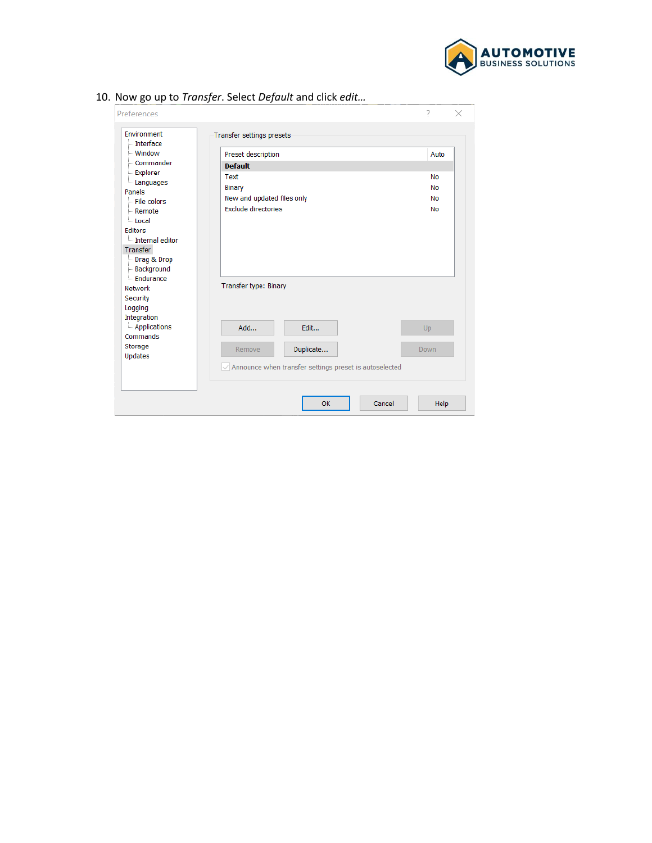

| Preferences                                                                                                                                      |                                                                            | ?<br>×                             |
|--------------------------------------------------------------------------------------------------------------------------------------------------|----------------------------------------------------------------------------|------------------------------------|
| Environment<br>- Interface                                                                                                                       | <b>Transfer settings presets</b>                                           |                                    |
| - Window                                                                                                                                         | Preset description                                                         | Auto                               |
| - Commander                                                                                                                                      | <b>Default</b>                                                             |                                    |
| - Explorer<br>Languages<br>Panels<br>$-$ File colors<br><b>Remote</b><br><b>Local</b><br>Editors<br>Internal editor<br>Transfer<br>- Drag & Drop | Text<br>Binary<br>New and updated files only<br><b>Exclude directories</b> | <b>No</b><br>No<br>No<br><b>No</b> |
| - Background<br>- Endurance<br><b>Network</b><br>Security<br>Logging<br>Integration                                                              | <b>Transfer type: Binary</b>                                               |                                    |
| - Applications<br>Commands                                                                                                                       | Add<br>Edit                                                                | <b>Up</b>                          |
| Storage<br><b>Updates</b>                                                                                                                        | Remove<br>Duplicate                                                        | Down                               |
|                                                                                                                                                  | Announce when transfer settings preset is autoselected                     |                                    |
|                                                                                                                                                  | Cancel<br>OK                                                               | Help                               |

10. Now go up to *Transfer*. Select *Default* and click *edit…*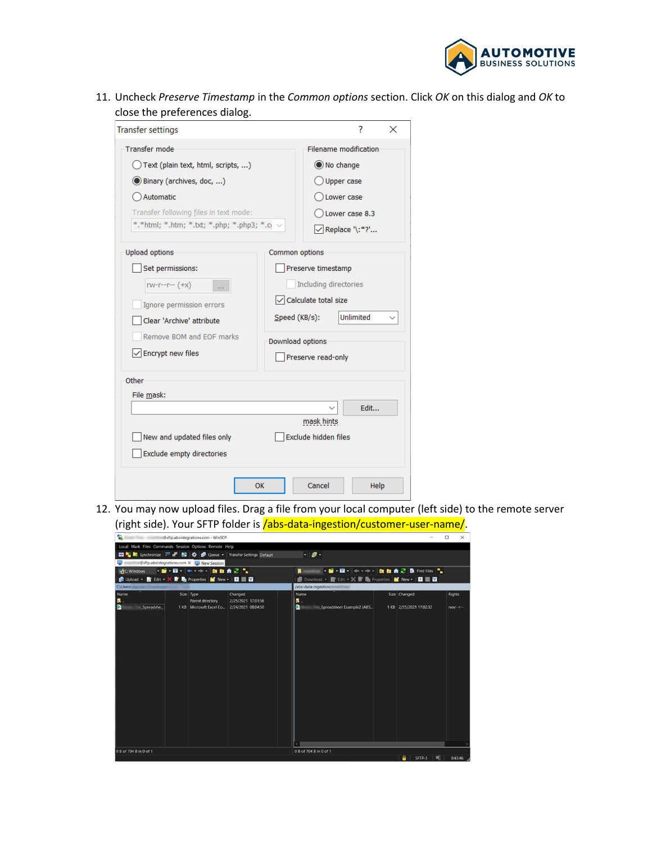

11. Uncheck *Preserve Timestamp* in the *Common options* section. Click *OK* on this dialog and *OK* to close the preferences dialog.

| <b>Transfer settings</b>                                   | ?<br>×                                    |  |  |  |  |
|------------------------------------------------------------|-------------------------------------------|--|--|--|--|
| <b>Transfer mode</b><br>Text (plain text, html, scripts, ) | Filename modification<br>O No change      |  |  |  |  |
| <b>O Binary (archives, doc, )</b>                          | Upper case                                |  |  |  |  |
| Automatic                                                  | Lower case                                |  |  |  |  |
| Transfer following files in text mode:                     | Lower case 8.3                            |  |  |  |  |
| *.*html; *.htm; *.txt; *.php; *.php3; *.o. $\vee$          | √ Replace '\:*?'                          |  |  |  |  |
| <b>Upload options</b>                                      | Common options                            |  |  |  |  |
| Set permissions:                                           | Preserve timestamp                        |  |  |  |  |
| $rw-r-r-r-(+x)$                                            | Including directories                     |  |  |  |  |
| Ignore permission errors                                   | $\sqrt{\frac{1}{1}}$ Calculate total size |  |  |  |  |
| Clear 'Archive' attribute                                  | <b>Unlimited</b><br>Speed (KB/s):         |  |  |  |  |
| Remove BOM and EOF marks                                   | Download options                          |  |  |  |  |
| $\sqrt{\frac{1}{2}}$ Encrypt new files                     | Preserve read-only                        |  |  |  |  |
| Other                                                      |                                           |  |  |  |  |
| File mask:                                                 |                                           |  |  |  |  |
| Edit                                                       |                                           |  |  |  |  |
| mask hints                                                 |                                           |  |  |  |  |
| Exclude hidden files<br>New and updated files only         |                                           |  |  |  |  |
| Exclude empty directories                                  |                                           |  |  |  |  |
| OK                                                         | Cancel<br>Help                            |  |  |  |  |

12. You may now upload files. Drag a file from your local computer (left side) to the remote server (right side). Your SFTP folder is /abs-data-ingestion/customer-user-name/.

| ີ                                                             |                                              |                    |                                                        |                         |                 |          |
|---------------------------------------------------------------|----------------------------------------------|--------------------|--------------------------------------------------------|-------------------------|-----------------|----------|
|                                                               | <b>IDsftp.absintegrations.com - WinSCP</b>   |                    |                                                        |                         | $\Box$          | $\times$ |
| Local Mark Files Commands Session Options Remote Help         |                                              |                    |                                                        |                         |                 |          |
| □ 图 编 Synchronize > ■ 图 卷 ● Queue → Transfer Settings Default |                                              |                    | $-9.$                                                  |                         |                 |          |
| $\blacksquare$ <b>Shipshare</b> Session Session Session       |                                              |                    |                                                        |                         |                 |          |
| <b>LA</b> C: Windows                                          | → 留→ 四→ 一→ 一→ 自 自 合 ② "」                     |                    | → 留 → 図 →   ← → → →   図 図 曲 2   図 Find Files  *  <br>п |                         |                 |          |
|                                                               |                                              |                    | ■ Download • ■ Edit • ※ ■ Broperties ■ New • ■ ■ ■     |                         |                 |          |
| <b>CAUsers'</b>                                               |                                              |                    | /abs-data-ingestion                                    |                         |                 |          |
| Name                                                          | Size Type                                    | Changed            | Name                                                   | Size Changed            | <b>Rights</b>   |          |
| п.                                                            | Parent directory                             | 2/25/2021 17:01:56 | 鳳.                                                     |                         |                 |          |
| п<br>Spreadshe                                                | 1 KB Microsoft Excel Co., 2/24/2021 08:04:50 |                    | п<br>Spreadsheet Example2 (ABS                         | 1 KB 2/25/2021 17:02:32 | $TWXf - -f - -$ |          |
|                                                               |                                              |                    |                                                        |                         |                 |          |
|                                                               |                                              |                    |                                                        |                         |                 |          |
|                                                               |                                              |                    |                                                        |                         |                 |          |
|                                                               |                                              |                    |                                                        |                         |                 |          |
|                                                               |                                              |                    |                                                        |                         |                 |          |
|                                                               |                                              |                    |                                                        |                         |                 |          |
|                                                               |                                              |                    |                                                        |                         |                 |          |
|                                                               |                                              |                    |                                                        |                         |                 |          |
|                                                               |                                              |                    |                                                        |                         |                 |          |
|                                                               |                                              |                    |                                                        |                         |                 |          |
|                                                               |                                              |                    |                                                        |                         |                 |          |
|                                                               |                                              |                    |                                                        |                         |                 |          |
|                                                               |                                              |                    |                                                        |                         |                 |          |
|                                                               |                                              |                    |                                                        |                         |                 |          |
|                                                               |                                              |                    |                                                        |                         |                 |          |
|                                                               |                                              |                    |                                                        |                         |                 |          |
|                                                               |                                              |                    |                                                        |                         |                 |          |
|                                                               |                                              |                    |                                                        |                         |                 |          |
| 0 B of 704 B in 0 of 1                                        |                                              |                    | 0 B of 704 B in 0 of 1                                 | $P$ $SFD-3$<br>BO.      | 0:43:46         |          |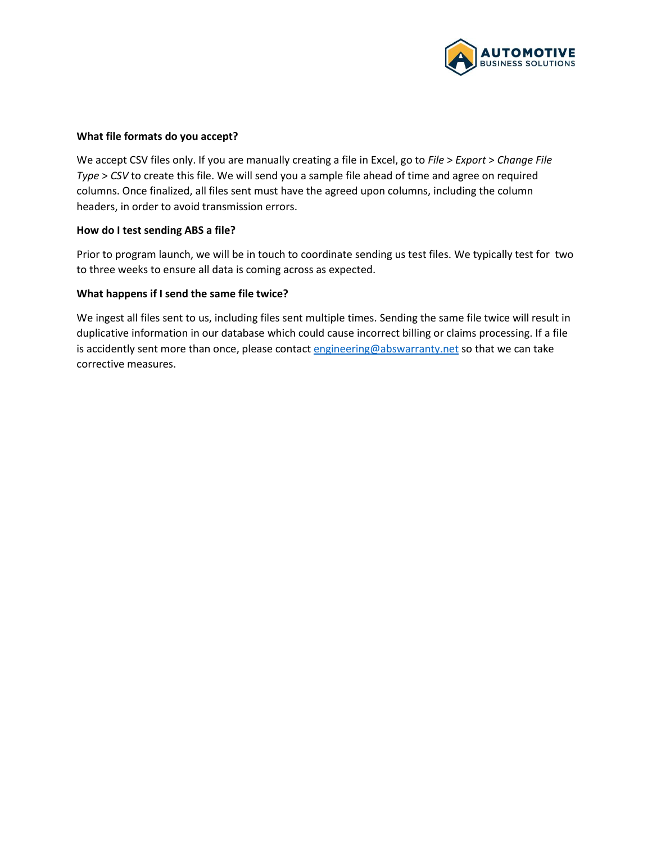

#### **What file formats do you accept?**

We accept CSV files only. If you are manually creating a file in Excel, go to *File* > *Export* > *Change File Type* > *CSV* to create this file. We will send you a sample file ahead of time and agree on required columns. Once finalized, all files sent must have the agreed upon columns, including the column headers, in order to avoid transmission errors.

#### **How do I test sending ABS a file?**

Prior to program launch, we will be in touch to coordinate sending us test files. We typically test for two to three weeks to ensure all data is coming across as expected.

#### **What happens if I send the same file twice?**

We ingest all files sent to us, including files sent multiple times. Sending the same file twice will result in duplicative information in our database which could cause incorrect billing or claims processing. If a file is accidently sent more than once, please contac[t engineering@abswarranty.net](mailto:engineering@abswarranty.net) so that we can take corrective measures.